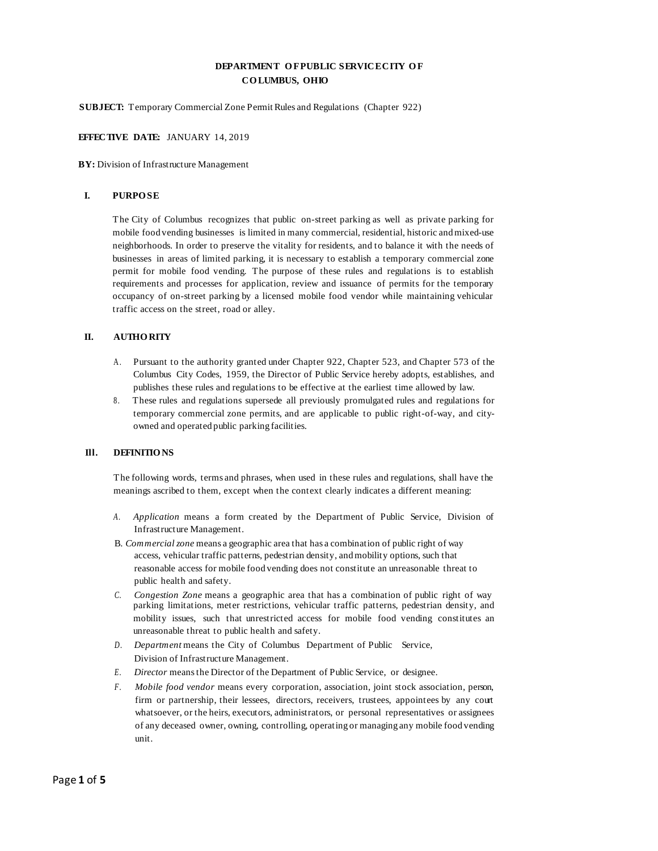# **DEPARTMENT O FPUBLIC SERVICECITY O F CO LUMBUS, OHIO**

**SUBJECT:** Temporary Commercial Zone Permit Rules and Regulations (Chapter 922)

### **EFFECTIVE DATE:** JANUARY 14, 2019

**BY:** Division of Infrastructure Management

#### **I. PURPO SE**

The City of Columbus recognizes that public on-street parking as well as private parking for mobile food vending businesses is limited in many commercial, residential, historic andmixed-use neighborhoods. In order to preserve the vitality for residents, and to balance it with the needs of businesses in areas of limited parking, it is necessary to establish a temporary commercial zone permit for mobile food vending. The purpose of these rules and regulations is to establish requirements and processes for application, review and issuance of permits for the temporary occupancy of on-street parking by a licensed mobile food vendor while maintaining vehicular traffic access on the street, road or alley.

#### **II. AUTHO RITY**

- A . Pursuant to the authority granted under Chapter 922, Chapter 523, and Chapter 573 of the Columbus City Codes, 1959, the Director of Public Service hereby adopts, establishes, and publishes these rules and regulations to be effective at the earliest time allowed by law.
- 8. These rules and regulations supersede all previously promulgated rules and regulations for temporary commercial zone permits, and are applicable to public right-of-way, and cityowned and operated public parking facilities.

#### **Ill. DEFINITIO NS**

The following words, terms and phrases, when used in these rules and regulations, shall have the meanings ascribed to them, except when the context clearly indicates a different meaning:

- *A . Application* means a form created by the Department of Public Service, Division of Infrastructure Management.
- B. *Commercial zone* means a geographic area that has a combination of public right of way access, vehicular traffic patterns, pedestrian density, andmobility options, such that reasonable access for mobile food vending does not constitute an unreasonable threat to public health and safety.
- *C. Congestion Zone* means a geographic area that has a combination of public right of way parking limitations, meter restrictions, vehicular traffic patterns, pedestrian density, and mobility issues, such that unrestricted access for mobile food vending constitutes an unreasonable threat to public health and safety.
- *D . Department* means the City of Columbus Department of Public Service, Division of Infrastructure Management.
- *E . Director* meansthe Director of the Department of Public Service, or designee.
- *F . Mobile food vendor* means every corporation, association, joint stock association, person, firm or partnership, their lessees, directors, receivers, trustees, appointees by any court whatsoever, or the heirs, executors, administrators, or personal representatives or assignees of any deceased owner, owning, controlling, operating or managing any mobile food vending unit.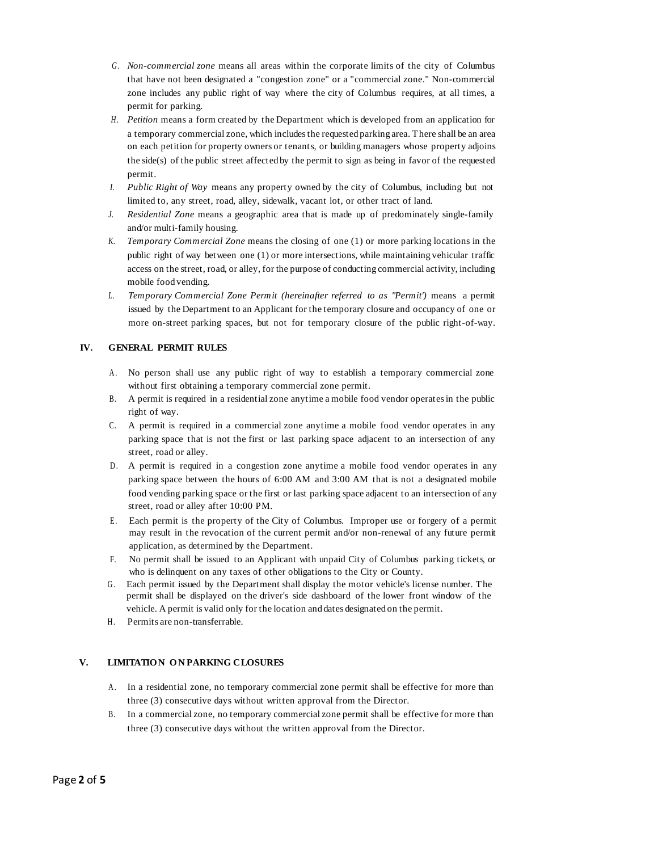- *G . Non-commercial zone* means all areas within the corporate limits of the city of Columbus that have not been designated a "congestion zone" or a "commercial zone." Non-commercial zone includes any public right of way where the city of Columbus requires, at all times, a permit for parking.
- *H . Petition* means a form created by the Department which is developed from an application for a temporary commercial zone, which includesthe requested parking area. There shall be an area on each petition for property owners or tenants, or building managers whose property adjoins the side(s) of the public street affected by the permit to sign as being in favor of the requested permit.
- *I. Public Right of Way* means any property owned by the city of Columbus, including but not limited to, any street, road, alley, sidewalk, vacant lot, or other tract of land.
- *J. Residential Zone* means a geographic area that is made up of predominately single-family and/or multi-family housing.
- *K. Temporary Commercial Zone* means the closing of one (1) or more parking locations in the public right of way between one (1) or more intersections, while maintaining vehicular traffic access on the street, road, or alley, for the purpose of conducting commercial activity, including mobile food vending.
- *L. Temporary Commercial Zone Permit (hereinafter referred to as "Permit')* means a permit issued by the Department to an Applicant for the temporary closure and occupancy of one or more on-street parking spaces, but not for temporary closure of the public right-of-way.

## **IV. GENERAL PERMIT RULES**

- A . No person shall use any public right of way to establish a temporary commercial zone without first obtaining a temporary commercial zone permit.
- B. A permit is required in a residential zone anytime a mobile food vendor operatesin the public right of way.
- C. A permit is required in a commercial zone anytime a mobile food vendor operates in any parking space that is not the first or last parking space adjacent to an intersection of any street, road or alley.
- D . A permit is required in a congestion zone anytime a mobile food vendor operates in any parking space between the hours of 6:00 AM and 3:00 AM that is not a designated mobile food vending parking space or the first or last parking space adjacent to an intersection of any street, road or alley after 10:00 PM.
- E . Each permit is the property of the City of Columbus. Improper use or forgery of a permit may result in the revocation of the current permit and/or non-renewal of any future permit application, as determined by the Department.
- F. No permit shall be issued to an Applicant with unpaid City of Columbus parking tickets, or who is delinquent on any taxes of other obligations to the City or County.
- G . Each permit issued by the Department shall display the motor vehicle's license number. The permit shall be displayed on the driver's side dashboard of the lower front window of the vehicle. A permit is valid only for the location and dates designated on the permit.
- H. Permits are non-transferrable.

## **V. LIMITATIO N O N PARKING CLOSURES**

- A . In a residential zone, no temporary commercial zone permit shall be effective for more than three (3) consecutive days without written approval from the Director.
- B. In a commercial zone, no temporary commercial zone permit shall be effective for more than three (3) consecutive days without the written approval from the Director.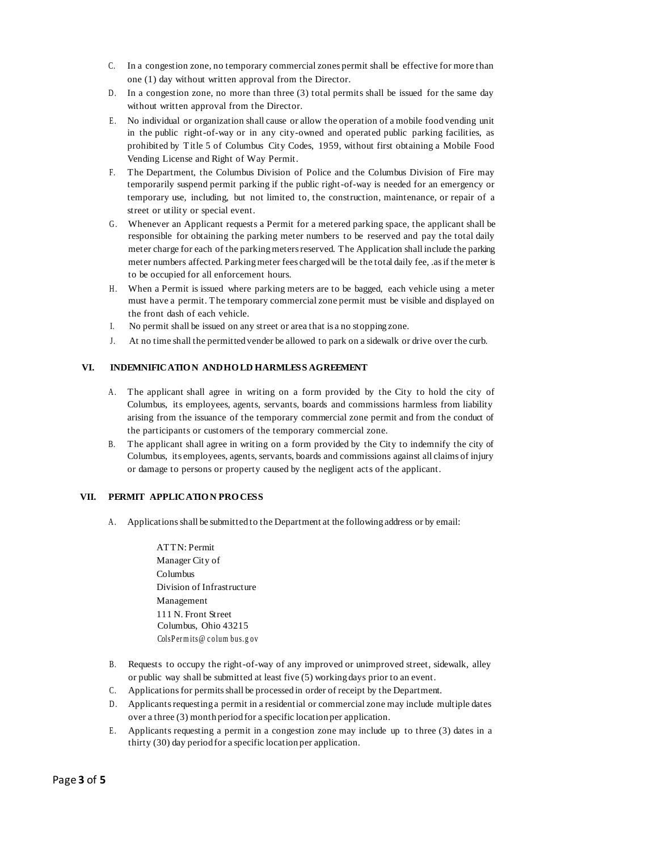- C. In a congestion zone, no temporary commercial zones permit shall be effective for more than one (1) day without written approval from the Director.
- D. In a congestion zone, no more than three  $(3)$  total permits shall be issued for the same day without written approval from the Director.
- E . No individual or organization shall cause or allow the operation of a mobile food vending unit in the public right-of-way or in any city-owned and operated public parking facilities, as prohibited by Title 5 of Columbus City Codes, 1959, without first obtaining a Mobile Food Vending License and Right of Way Permit.
- F. The Department, the Columbus Division of Police and the Columbus Division of Fire may temporarily suspend permit parking if the public right-of-way is needed for an emergency or temporary use, including, but not limited to, the construction, maintenance, or repair of a street or utility or special event.
- G . Whenever an Applicant requests a Permit for a metered parking space, the applicant shall be responsible for obtaining the parking meter numbers to be reserved and pay the total daily meter charge for each of the parking meters reserved. The Application shall include the parking meter numbers affected. Parkingmeter fees charged will be the total daily fee, .asif the meter is to be occupied for all enforcement hours.
- H. When a Permit is issued where parking meters are to be bagged, each vehicle using a meter must have a permit. The temporary commercial zone permit must be visible and displayed on the front dash of each vehicle.
- I. No permit shall be issued on any street or area that is a no stopping zone.
- J. At no time shall the permitted vender be allowed to park on a sidewalk or drive over the curb.

### **VI. INDEMNIFICATIO N ANDHO LD HARMLESS AGREEMENT**

- A . The applicant shall agree in writing on a form provided by the City to hold the city of Columbus, its employees, agents, servants, boards and commissions harmless from liability arising from the issuance of the temporary commercial zone permit and from the conduct of the participants or customers of the temporary commercial zone.
- B. The applicant shall agree in writing on a form provided by the City to indemnify the city of Columbus, its employees, agents, servants, boards and commissions against all claims of injury or damage to persons or property caused by the negligent acts of the applicant.

### **VII. PERMIT APPLICATIO N PRO CESS**

- A . Applicationsshall be submitted to the Department at the following address or by email:
	- ATTN: Permit Manager City of Columbus Division of Infrastructure Management 111 N. Front Street Columbus, Ohio 43215 ColsPermits@columbus.gov
- B. Requests to occupy the right-of-way of any improved or unimproved street, sidewalk, alley or public way shall be submitted at least five (5) working days prior to an event.
- C. Applicationsfor permitsshall be processed in order of receipt by the Department.
- D. Applicants requesting a permit in a residential or commercial zone may include multiple dates over a three (3) month period for a specific location per application.
- E . Applicants requesting a permit in a congestion zone may include up to three (3) dates in a thirty (30) day period for a specific location per application.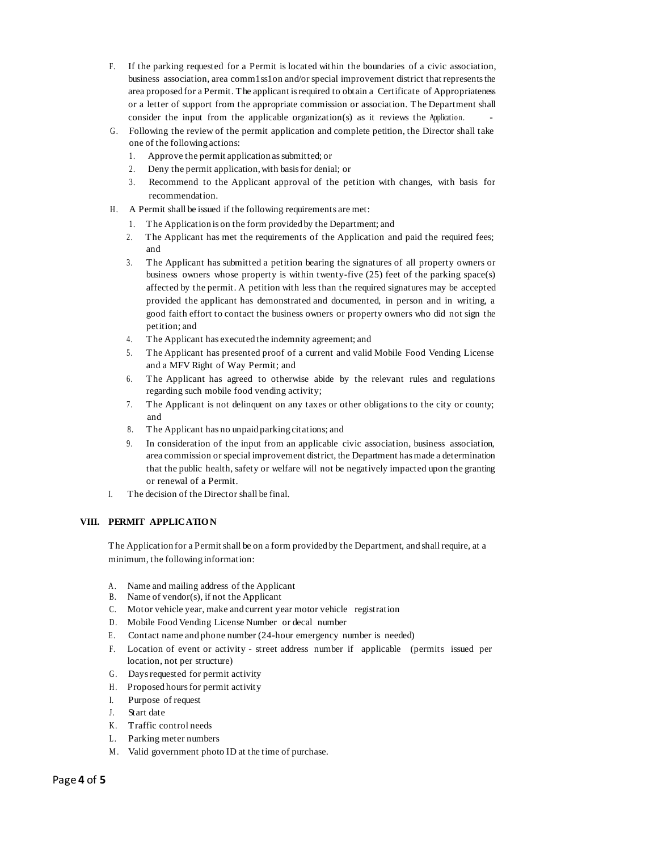- F. If the parking requested for a Permit is located within the boundaries of a civic association, business association, area comm1ss1on and/or special improvement district that represents the area proposed for a Permit. The applicant isrequired to obtain a Certificate of Appropriateness or a letter of support from the appropriate commission or association. The Department shall consider the input from the applicable organization(s) as it reviews the Application.
- G . Following the review of the permit application and complete petition, the Director shall take one of the following actions:
	- 1. Approve the permit application assubmitted; or
	- 2. Deny the permit application,with basisfor denial; or
	- 3. Recommend to the Applicant approval of the petition with changes, with basis for recommendation.
- H. A Permit shall be issued if the following requirements are met:
	- 1. The Application is on the form provided by the Department; and
	- 2. The Applicant has met the requirements of the Application and paid the required fees; and
	- 3. The Applicant has submitted a petition bearing the signatures of all property owners or business owners whose property is within twenty-five (25) feet of the parking space(s) affected by the permit. A petition with less than the required signatures may be accepted provided the applicant has demonstrated and documented, in person and in writing, a good faith effort to contact the business owners or property owners who did not sign the petition; and
	- 4. The Applicant has executed the indemnity agreement; and
	- 5. The Applicant has presented proof of a current and valid Mobile Food Vending License and a MFV Right of Way Permit; and
	- 6. The Applicant has agreed to otherwise abide by the relevant rules and regulations regarding such mobile food vending activity;
	- 7. The Applicant is not delinquent on any taxes or other obligations to the city or county; and
	- 8. The Applicant has no unpaid parking citations; and
	- 9. In consideration of the input from an applicable civic association, business association, area commission or special improvement district, the Department has made a determination that the public health, safety or welfare will not be negatively impacted upon the granting or renewal of a Permit.
- I. The decision of the Director shall be final.

# **VIII. PERMIT APPLICATIO N**

The Application for a Permitshall be on a form provided by the Department, and shall require, at a minimum, the following information:

- A. Name and mailing address of the Applicant
- B. Name of vendor(s), if not the Applicant
- C. Motor vehicle year, make and current year motor vehicle registration
- D. Mobile Food Vending License Number or decal number
- E. Contact name and phone number (24-hour emergency number is needed)
- F. Location of event or activity street address number if applicable (permits issued per location, not per structure)
- G. Days requested for permit activity
- H. Proposed hours for permit activity
- I. Purpose of request
- J. Start date
- K. Traffic control needs
- L. Parking meter numbers
- M. Valid government photo ID at the time of purchase.